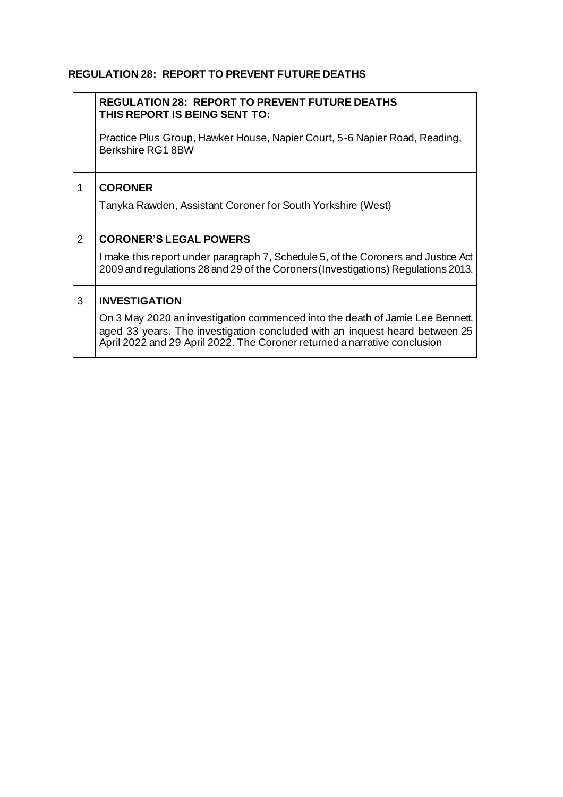## **REGULATION 28: REPORT TO PREVENT FUTURE DEATHS**

|                | <b>REGULATION 28: REPORT TO PREVENT FUTURE DEATHS</b><br>THIS REPORT IS BEING SENT TO:                                                                                                                                                    |
|----------------|-------------------------------------------------------------------------------------------------------------------------------------------------------------------------------------------------------------------------------------------|
|                | Practice Plus Group, Hawker House, Napier Court, 5-6 Napier Road, Reading,<br>Berkshire RG1 8BW                                                                                                                                           |
| 1              | <b>CORONER</b>                                                                                                                                                                                                                            |
|                | Tanyka Rawden, Assistant Coroner for South Yorkshire (West)                                                                                                                                                                               |
| $\overline{2}$ | <b>CORONER'S LEGAL POWERS</b>                                                                                                                                                                                                             |
|                | I make this report under paragraph 7, Schedule 5, of the Coroners and Justice Act<br>2009 and regulations 28 and 29 of the Coroners (Investigations) Regulations 2013.                                                                    |
| 3              | <b>INVESTIGATION</b>                                                                                                                                                                                                                      |
|                | On 3 May 2020 an investigation commenced into the death of Jamie Lee Bennett,<br>aged 33 years. The investigation concluded with an inquest heard between 25<br>April 2022 and 29 April 2022. The Coroner returned a narrative conclusion |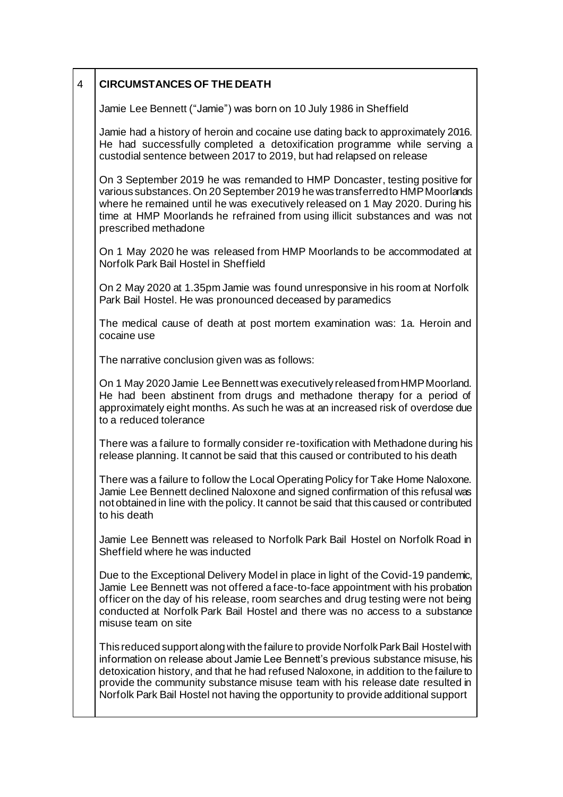| $\overline{4}$ | <b>CIRCUMSTANCES OF THE DEATH</b> |
|----------------|-----------------------------------|
|                |                                   |

Jamie Lee Bennett ("Jamie") was born on 10 July 1986 in Sheffield

Jamie had a history of heroin and cocaine use dating back to approximately 2016. He had successfully completed a detoxification programme while serving a custodial sentence between 2017 to 2019, but had relapsed on release

On 3 September 2019 he was remanded to HMP Doncaster, testing positive for various substances. On 20 September 2019 he was transferred to HMP Moorlands where he remained until he was executively released on 1 May 2020. During his time at HMP Moorlands he refrained from using illicit substances and was not prescribed methadone

On 1 May 2020 he was released from HMP Moorlands to be accommodated at Norfolk Park Bail Hostel in Sheffield

On 2 May 2020 at 1.35pm Jamie was found unresponsive in his room at Norfolk Park Bail Hostel. He was pronounced deceased by paramedics

The medical cause of death at post mortem examination was: 1a. Heroin and cocaine use

The narrative conclusion given was as follows:

On 1 May 2020 Jamie Lee Bennett was executively released from HMP Moorland. He had been abstinent from drugs and methadone therapy for a period of approximately eight months. As such he was at an increased risk of overdose due to a reduced tolerance

There was a failure to formally consider re-toxification with Methadone during his release planning. It cannot be said that this caused or contributed to his death

There was a failure to follow the Local Operating Policy for Take Home Naloxone. Jamie Lee Bennett declined Naloxone and signed confirmation of this refusal was not obtained in line with the policy. It cannot be said that this caused or contributed to his death

Jamie Lee Bennett was released to Norfolk Park Bail Hostel on Norfolk Road in Sheffield where he was inducted

Due to the Exceptional Delivery Model in place in light of the Covid-19 pandemic, Jamie Lee Bennett was not offered a face-to-face appointment with his probation officer on the day of his release, room searches and drug testing were not being conducted at Norfolk Park Bail Hostel and there was no access to a substance misuse team on site

This reduced support along with the failure to provide Norfolk Park Bail Hostel with information on release about Jamie Lee Bennett's previous substance misuse, his detoxication history, and that he had refused Naloxone, in addition to the failure to provide the community substance misuse team with his release date resulted in Norfolk Park Bail Hostel not having the opportunity to provide additional support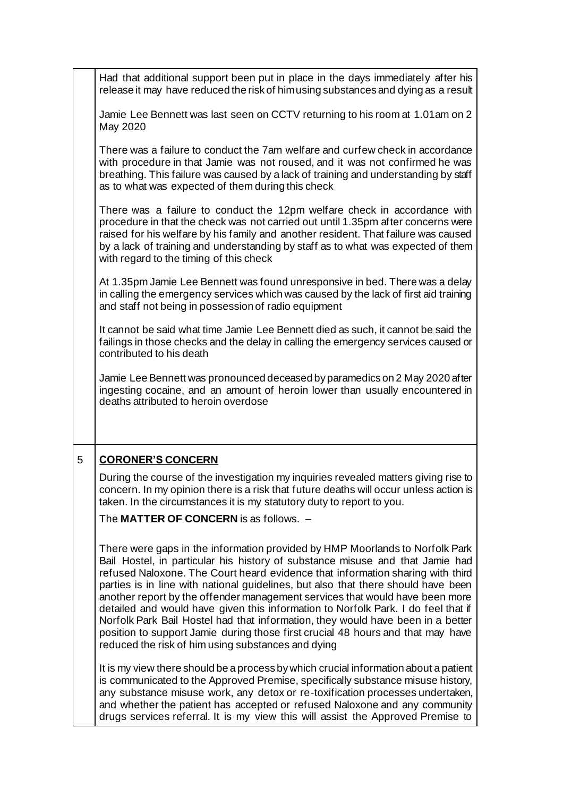|   | Had that additional support been put in place in the days immediately after his<br>release it may have reduced the risk of him using substances and dying as a result                                                                                                                                                                                                                                                                                                                                                                                                                                                                                                                                                                 |
|---|---------------------------------------------------------------------------------------------------------------------------------------------------------------------------------------------------------------------------------------------------------------------------------------------------------------------------------------------------------------------------------------------------------------------------------------------------------------------------------------------------------------------------------------------------------------------------------------------------------------------------------------------------------------------------------------------------------------------------------------|
|   | Jamie Lee Bennett was last seen on CCTV returning to his room at 1.01am on 2<br>May 2020                                                                                                                                                                                                                                                                                                                                                                                                                                                                                                                                                                                                                                              |
|   | There was a failure to conduct the 7am welfare and curfew check in accordance<br>with procedure in that Jamie was not roused, and it was not confirmed he was<br>breathing. This failure was caused by a lack of training and understanding by staff<br>as to what was expected of them during this check                                                                                                                                                                                                                                                                                                                                                                                                                             |
|   | There was a failure to conduct the 12pm welfare check in accordance with<br>procedure in that the check was not carried out until 1.35pm after concerns were<br>raised for his welfare by his family and another resident. That failure was caused<br>by a lack of training and understanding by staff as to what was expected of them<br>with regard to the timing of this check                                                                                                                                                                                                                                                                                                                                                     |
|   | At 1.35pm Jamie Lee Bennett was found unresponsive in bed. There was a delay<br>in calling the emergency services which was caused by the lack of first aid training<br>and staff not being in possession of radio equipment                                                                                                                                                                                                                                                                                                                                                                                                                                                                                                          |
|   | It cannot be said what time Jamie Lee Bennett died as such, it cannot be said the<br>failings in those checks and the delay in calling the emergency services caused or<br>contributed to his death                                                                                                                                                                                                                                                                                                                                                                                                                                                                                                                                   |
|   | Jamie Lee Bennett was pronounced deceased by paramedics on 2 May 2020 after<br>ingesting cocaine, and an amount of heroin lower than usually encountered in<br>deaths attributed to heroin overdose                                                                                                                                                                                                                                                                                                                                                                                                                                                                                                                                   |
| 5 | <b>CORONER'S CONCERN</b>                                                                                                                                                                                                                                                                                                                                                                                                                                                                                                                                                                                                                                                                                                              |
|   | During the course of the investigation my inquiries revealed matters giving rise to<br>concern. In my opinion there is a risk that future deaths will occur unless action is<br>taken. In the circumstances it is my statutory duty to report to you.                                                                                                                                                                                                                                                                                                                                                                                                                                                                                 |
|   | The MATTER OF CONCERN is as follows. -                                                                                                                                                                                                                                                                                                                                                                                                                                                                                                                                                                                                                                                                                                |
|   | There were gaps in the information provided by HMP Moorlands to Norfolk Park<br>Bail Hostel, in particular his history of substance misuse and that Jamie had<br>refused Naloxone. The Court heard evidence that information sharing with third<br>parties is in line with national quidelines, but also that there should have been<br>another report by the offender management services that would have been more<br>detailed and would have given this information to Norfolk Park. I do feel that if<br>Norfolk Park Bail Hostel had that information, they would have been in a better<br>position to support Jamie during those first crucial 48 hours and that may have<br>reduced the risk of him using substances and dying |
|   | It is my view there should be a process by which crucial information about a patient<br>is communicated to the Approved Premise, specifically substance misuse history,<br>any substance misuse work, any detox or re-toxification processes undertaken,<br>and whether the patient has accepted or refused Naloxone and any community<br>drugs services referral. It is my view this will assist the Approved Premise to                                                                                                                                                                                                                                                                                                             |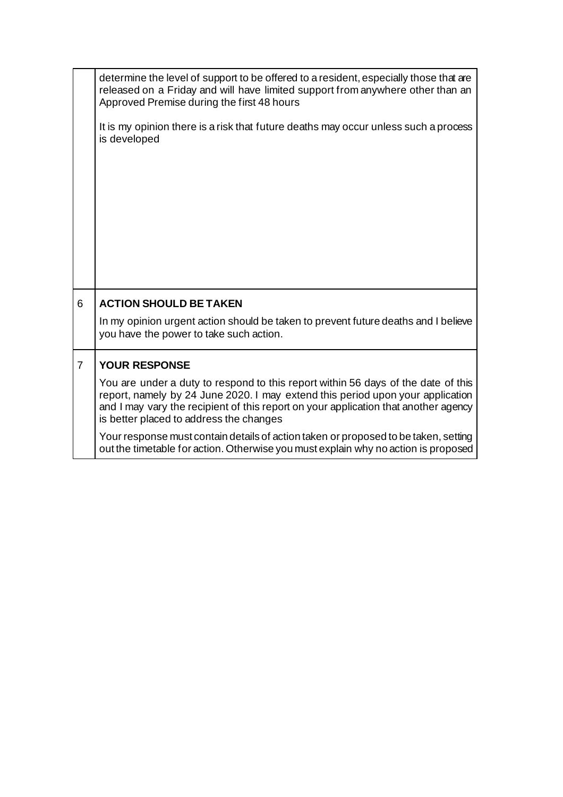|                | determine the level of support to be offered to a resident, especially those that are<br>released on a Friday and will have limited support from anywhere other than an<br>Approved Premise during the first 48 hours                                                                                 |
|----------------|-------------------------------------------------------------------------------------------------------------------------------------------------------------------------------------------------------------------------------------------------------------------------------------------------------|
|                | It is my opinion there is a risk that future deaths may occur unless such a process<br>is developed                                                                                                                                                                                                   |
|                |                                                                                                                                                                                                                                                                                                       |
|                |                                                                                                                                                                                                                                                                                                       |
|                |                                                                                                                                                                                                                                                                                                       |
|                |                                                                                                                                                                                                                                                                                                       |
| 6              | <b>ACTION SHOULD BE TAKEN</b>                                                                                                                                                                                                                                                                         |
|                | In my opinion urgent action should be taken to prevent future deaths and I believe<br>you have the power to take such action.                                                                                                                                                                         |
| $\overline{7}$ | <b>YOUR RESPONSE</b>                                                                                                                                                                                                                                                                                  |
|                | You are under a duty to respond to this report within 56 days of the date of this<br>report, namely by 24 June 2020. I may extend this period upon your application<br>and I may vary the recipient of this report on your application that another agency<br>is better placed to address the changes |
|                | Your response must contain details of action taken or proposed to be taken, setting<br>out the timetable for action. Otherwise you must explain why no action is proposed                                                                                                                             |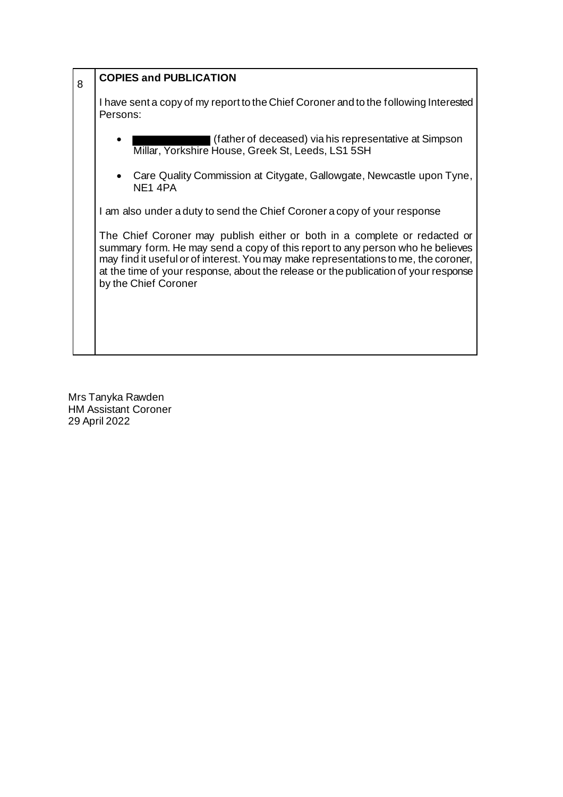| 8 | <b>COPIES and PUBLICATION</b>                                                                                                                                                                                                                                                                                                                                    |
|---|------------------------------------------------------------------------------------------------------------------------------------------------------------------------------------------------------------------------------------------------------------------------------------------------------------------------------------------------------------------|
|   | I have sent a copy of my report to the Chief Coroner and to the following Interested<br>Persons:                                                                                                                                                                                                                                                                 |
|   | (father of deceased) via his representative at Simpson<br>Millar, Yorkshire House, Greek St, Leeds, LS1 5SH                                                                                                                                                                                                                                                      |
|   | • Care Quality Commission at Citygate, Gallowgate, Newcastle upon Tyne,<br>NE <sub>1</sub> 4PA                                                                                                                                                                                                                                                                   |
|   | I am also under a duty to send the Chief Coroner a copy of your response                                                                                                                                                                                                                                                                                         |
|   | The Chief Coroner may publish either or both in a complete or redacted or<br>summary form. He may send a copy of this report to any person who he believes<br>may find it useful or of interest. You may make representations to me, the coroner,<br>at the time of your response, about the release or the publication of your response<br>by the Chief Coroner |
|   |                                                                                                                                                                                                                                                                                                                                                                  |

Mrs Tanyka Rawden HM Assistant Coroner 29 April 2022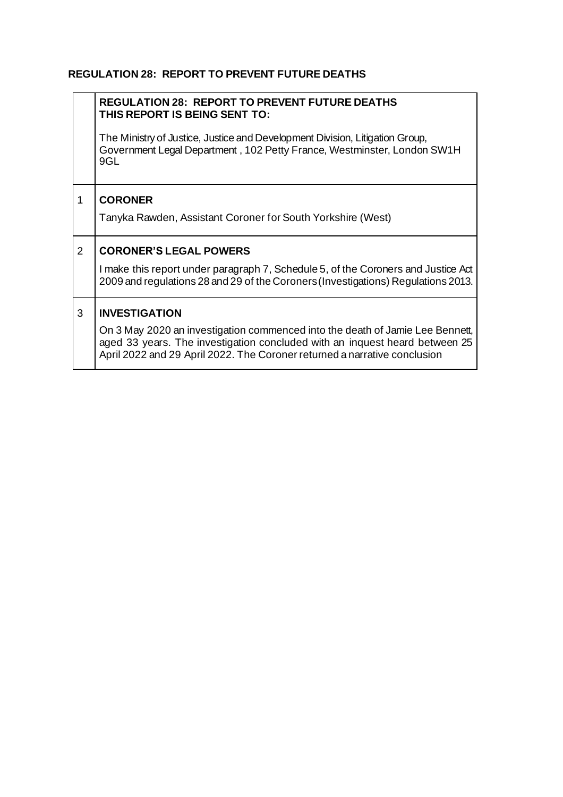## **REGULATION 28: REPORT TO PREVENT FUTURE DEATHS**

|                | <b>REGULATION 28: REPORT TO PREVENT FUTURE DEATHS</b><br>THIS REPORT IS BEING SENT TO:                                                                                                                                                    |
|----------------|-------------------------------------------------------------------------------------------------------------------------------------------------------------------------------------------------------------------------------------------|
|                | The Ministry of Justice, Justice and Development Division, Litigation Group,<br>Government Legal Department, 102 Petty France, Westminster, London SW1H<br>9GL                                                                            |
| 1              | <b>CORONER</b>                                                                                                                                                                                                                            |
|                | Tanyka Rawden, Assistant Coroner for South Yorkshire (West)                                                                                                                                                                               |
| $\overline{2}$ | <b>CORONER'S LEGAL POWERS</b>                                                                                                                                                                                                             |
|                | I make this report under paragraph 7, Schedule 5, of the Coroners and Justice Act<br>2009 and regulations 28 and 29 of the Coroners (Investigations) Regulations 2013.                                                                    |
| 3              | <b>INVESTIGATION</b>                                                                                                                                                                                                                      |
|                | On 3 May 2020 an investigation commenced into the death of Jamie Lee Bennett,<br>aged 33 years. The investigation concluded with an inquest heard between 25<br>April 2022 and 29 April 2022. The Coroner returned a narrative conclusion |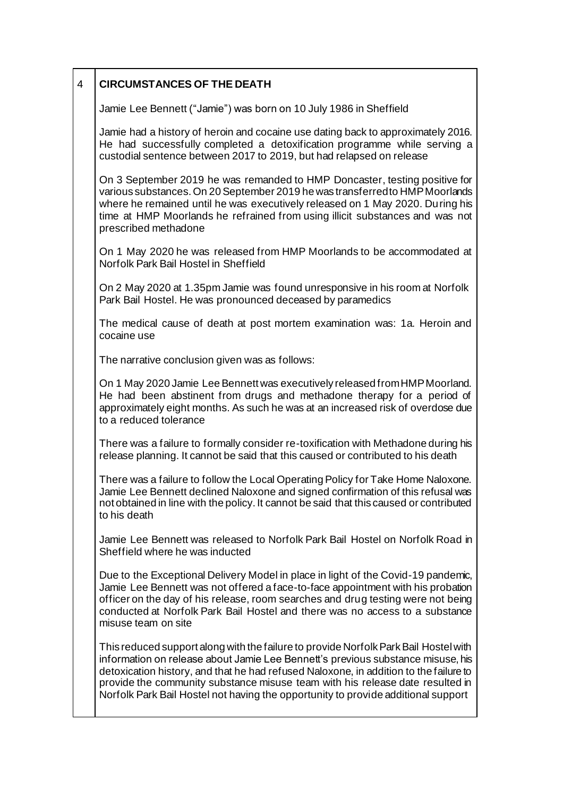| $\overline{4}$ | <b>CIRCUMSTANCES OF THE DEATH</b> |
|----------------|-----------------------------------|
|                |                                   |

Jamie Lee Bennett ("Jamie") was born on 10 July 1986 in Sheffield

Jamie had a history of heroin and cocaine use dating back to approximately 2016. He had successfully completed a detoxification programme while serving a custodial sentence between 2017 to 2019, but had relapsed on release

On 3 September 2019 he was remanded to HMP Doncaster, testing positive for various substances. On 20 September 2019 he was transferred to HMP Moorlands where he remained until he was executively released on 1 May 2020. During his time at HMP Moorlands he refrained from using illicit substances and was not prescribed methadone

On 1 May 2020 he was released from HMP Moorlands to be accommodated at Norfolk Park Bail Hostel in Sheffield

On 2 May 2020 at 1.35pm Jamie was found unresponsive in his room at Norfolk Park Bail Hostel. He was pronounced deceased by paramedics

The medical cause of death at post mortem examination was: 1a. Heroin and cocaine use

The narrative conclusion given was as follows:

On 1 May 2020 Jamie Lee Bennett was executively released from HMP Moorland. He had been abstinent from drugs and methadone therapy for a period of approximately eight months. As such he was at an increased risk of overdose due to a reduced tolerance

There was a failure to formally consider re-toxification with Methadone during his release planning. It cannot be said that this caused or contributed to his death

There was a failure to follow the Local Operating Policy for Take Home Naloxone. Jamie Lee Bennett declined Naloxone and signed confirmation of this refusal was not obtained in line with the policy. It cannot be said that this caused or contributed to his death

Jamie Lee Bennett was released to Norfolk Park Bail Hostel on Norfolk Road in Sheffield where he was inducted

Due to the Exceptional Delivery Model in place in light of the Covid-19 pandemic, Jamie Lee Bennett was not offered a face-to-face appointment with his probation officer on the day of his release, room searches and drug testing were not being conducted at Norfolk Park Bail Hostel and there was no access to a substance misuse team on site

This reduced support along with the failure to provide Norfolk Park Bail Hostel with information on release about Jamie Lee Bennett's previous substance misuse, his detoxication history, and that he had refused Naloxone, in addition to the failure to provide the community substance misuse team with his release date resulted in Norfolk Park Bail Hostel not having the opportunity to provide additional support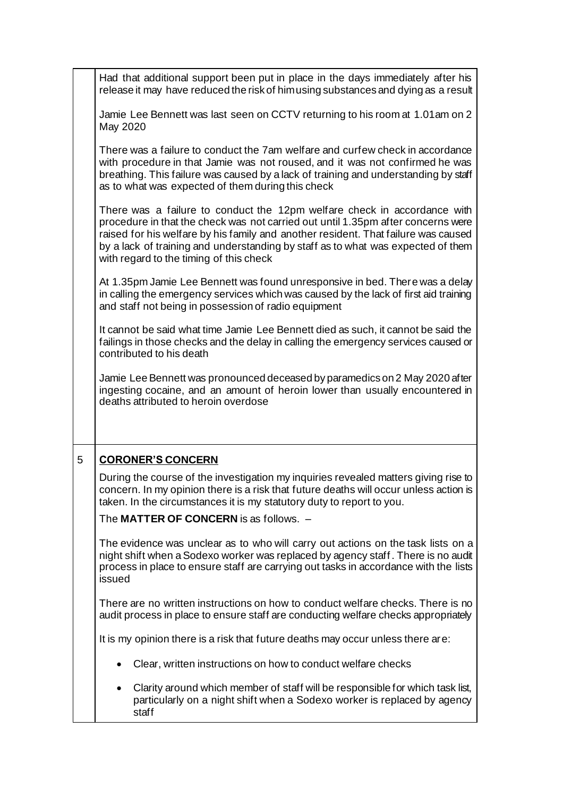|   | Had that additional support been put in place in the days immediately after his<br>release it may have reduced the risk of him using substances and dying as a result                                                                                                                                                                                                             |
|---|-----------------------------------------------------------------------------------------------------------------------------------------------------------------------------------------------------------------------------------------------------------------------------------------------------------------------------------------------------------------------------------|
|   | Jamie Lee Bennett was last seen on CCTV returning to his room at 1.01am on 2<br>May 2020                                                                                                                                                                                                                                                                                          |
|   | There was a failure to conduct the 7am welfare and curfew check in accordance<br>with procedure in that Jamie was not roused, and it was not confirmed he was<br>breathing. This failure was caused by a lack of training and understanding by staff<br>as to what was expected of them during this check                                                                         |
|   | There was a failure to conduct the 12pm welfare check in accordance with<br>procedure in that the check was not carried out until 1.35pm after concerns were<br>raised for his welfare by his family and another resident. That failure was caused<br>by a lack of training and understanding by staff as to what was expected of them<br>with regard to the timing of this check |
|   | At 1.35pm Jamie Lee Bennett was found unresponsive in bed. There was a delay<br>in calling the emergency services which was caused by the lack of first aid training<br>and staff not being in possession of radio equipment                                                                                                                                                      |
|   | It cannot be said what time Jamie Lee Bennett died as such, it cannot be said the<br>failings in those checks and the delay in calling the emergency services caused or<br>contributed to his death                                                                                                                                                                               |
|   | Jamie Lee Bennett was pronounced deceased by paramedics on 2 May 2020 after<br>ingesting cocaine, and an amount of heroin lower than usually encountered in<br>deaths attributed to heroin overdose                                                                                                                                                                               |
| 5 | <b>CORONER'S CONCERN</b>                                                                                                                                                                                                                                                                                                                                                          |
|   | During the course of the investigation my inquiries revealed matters giving rise to<br>concern. In my opinion there is a risk that future deaths will occur unless action is<br>taken. In the circumstances it is my statutory duty to report to you.                                                                                                                             |
|   | The MATTER OF CONCERN is as follows. -                                                                                                                                                                                                                                                                                                                                            |
|   | The evidence was unclear as to who will carry out actions on the task lists on a<br>night shift when a Sodexo worker was replaced by agency staff. There is no audit<br>process in place to ensure staff are carrying out tasks in accordance with the lists<br>issued                                                                                                            |
|   | There are no written instructions on how to conduct welfare checks. There is no<br>audit process in place to ensure staff are conducting welfare checks appropriately                                                                                                                                                                                                             |
|   | It is my opinion there is a risk that future deaths may occur unless there are:                                                                                                                                                                                                                                                                                                   |
|   | Clear, written instructions on how to conduct welfare checks                                                                                                                                                                                                                                                                                                                      |
|   | Clarity around which member of staff will be responsible for which task list,<br>$\bullet$<br>particularly on a night shift when a Sodexo worker is replaced by agency<br>staff                                                                                                                                                                                                   |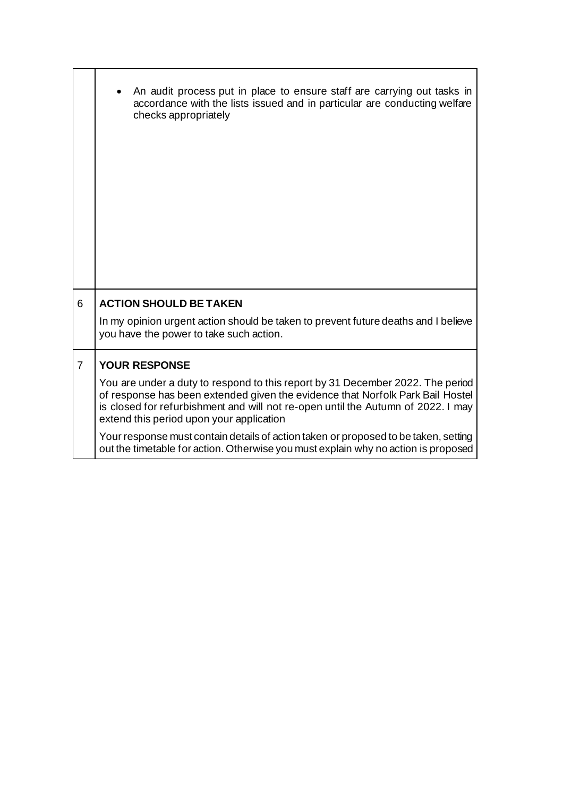|                | An audit process put in place to ensure staff are carrying out tasks in<br>accordance with the lists issued and in particular are conducting welfare<br>checks appropriately                                                                                                                     |
|----------------|--------------------------------------------------------------------------------------------------------------------------------------------------------------------------------------------------------------------------------------------------------------------------------------------------|
| 6              | <b>ACTION SHOULD BE TAKEN</b>                                                                                                                                                                                                                                                                    |
|                | In my opinion urgent action should be taken to prevent future deaths and I believe<br>you have the power to take such action.                                                                                                                                                                    |
| $\overline{7}$ | <b>YOUR RESPONSE</b>                                                                                                                                                                                                                                                                             |
|                | You are under a duty to respond to this report by 31 December 2022. The period<br>of response has been extended given the evidence that Norfolk Park Bail Hostel<br>is closed for refurbishment and will not re-open until the Autumn of 2022. I may<br>extend this period upon your application |
|                | Your response must contain details of action taken or proposed to be taken, setting<br>out the timetable for action. Otherwise you must explain why no action is proposed                                                                                                                        |